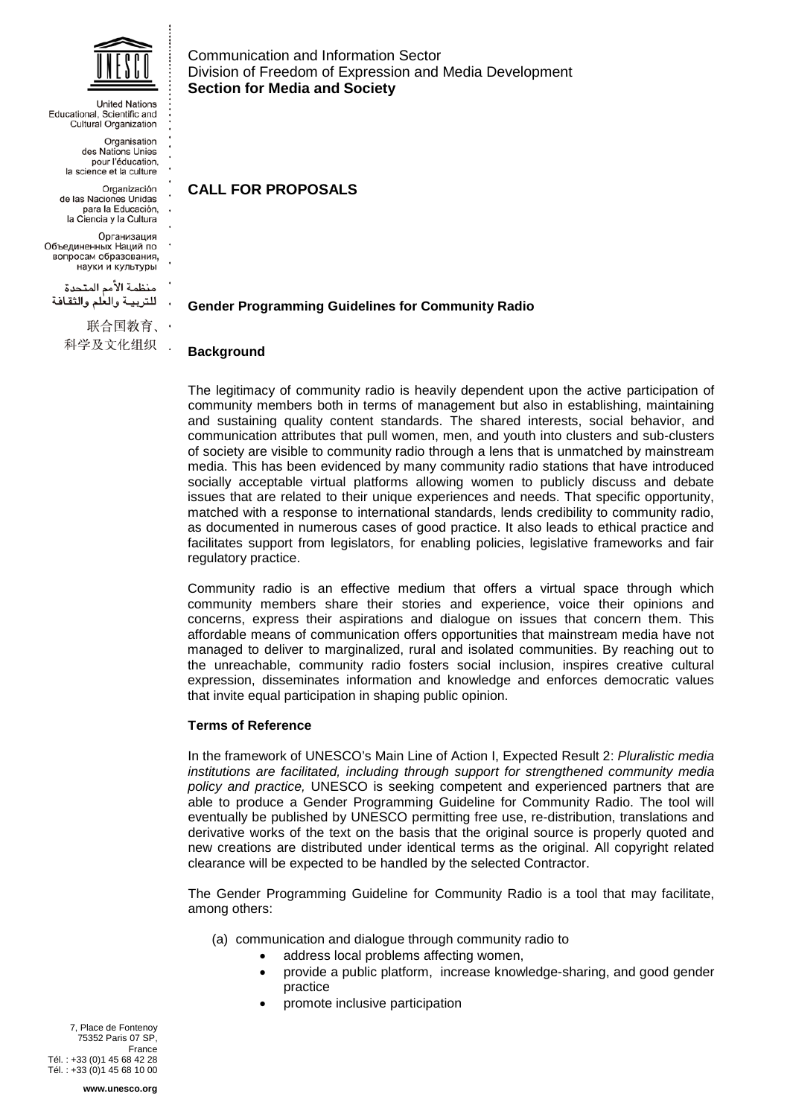

**United Nations** Educational, Scientific and Cultural Organization Organisation des Nations Unies pour l'éducation. la science et la culture Organización de las Naciones Unidas para la Educación, la Ciencia y la Cultura Организация Объединенных Наций по вопросам образования, науки и культуры منظمة الأمم المتحدة للتربيبة والعلم والثقافة 联合国教育、· 科学及文化组织 .

Communication and Information Sector Division of Freedom of Expression and Media Development **Section for Media and Society**

**CALL FOR PROPOSALS**

# **Gender Programming Guidelines for Community Radio**

## **Background**

The legitimacy of community radio is heavily dependent upon the active participation of community members both in terms of management but also in establishing, maintaining and sustaining quality content standards. The shared interests, social behavior, and communication attributes that pull women, men, and youth into clusters and sub-clusters of society are visible to community radio through a lens that is unmatched by mainstream media. This has been evidenced by many community radio stations that have introduced socially acceptable virtual platforms allowing women to publicly discuss and debate issues that are related to their unique experiences and needs. That specific opportunity, matched with a response to international standards, lends credibility to community radio, as documented in numerous cases of good practice. It also leads to ethical practice and facilitates support from legislators, for enabling policies, legislative frameworks and fair regulatory practice.

Community radio is an effective medium that offers a virtual space through which community members share their stories and experience, voice their opinions and concerns, express their aspirations and dialogue on issues that concern them. This affordable means of communication offers opportunities that mainstream media have not managed to deliver to marginalized, rural and isolated communities. By reaching out to the unreachable, community radio fosters social inclusion, inspires creative cultural expression, disseminates information and knowledge and enforces democratic values that invite equal participation in shaping public opinion.

## **Terms of Reference**

In the framework of UNESCO's Main Line of Action I, Expected Result 2: *Pluralistic media institutions are facilitated, including through support for strengthened community media policy and practice,* UNESCO is seeking competent and experienced partners that are able to produce a Gender Programming Guideline for Community Radio. The tool will eventually be published by UNESCO permitting free use, re-distribution, translations and derivative works of the text on the basis that the original source is properly quoted and new creations are distributed under identical terms as the original. All copyright related clearance will be expected to be handled by the selected Contractor.

The Gender Programming Guideline for Community Radio is a tool that may facilitate, among others:

- (a) communication and dialogue through community radio to
	- address local problems affecting women,
	- provide a public platform, increase knowledge-sharing, and good gender practice
	- promote inclusive participation

7, Place de Fontenoy 75352 Paris 07 SP, France Tél. : +33 (0)1 45 68 42 28 Tél. : +33 (0)1 45 68 10 00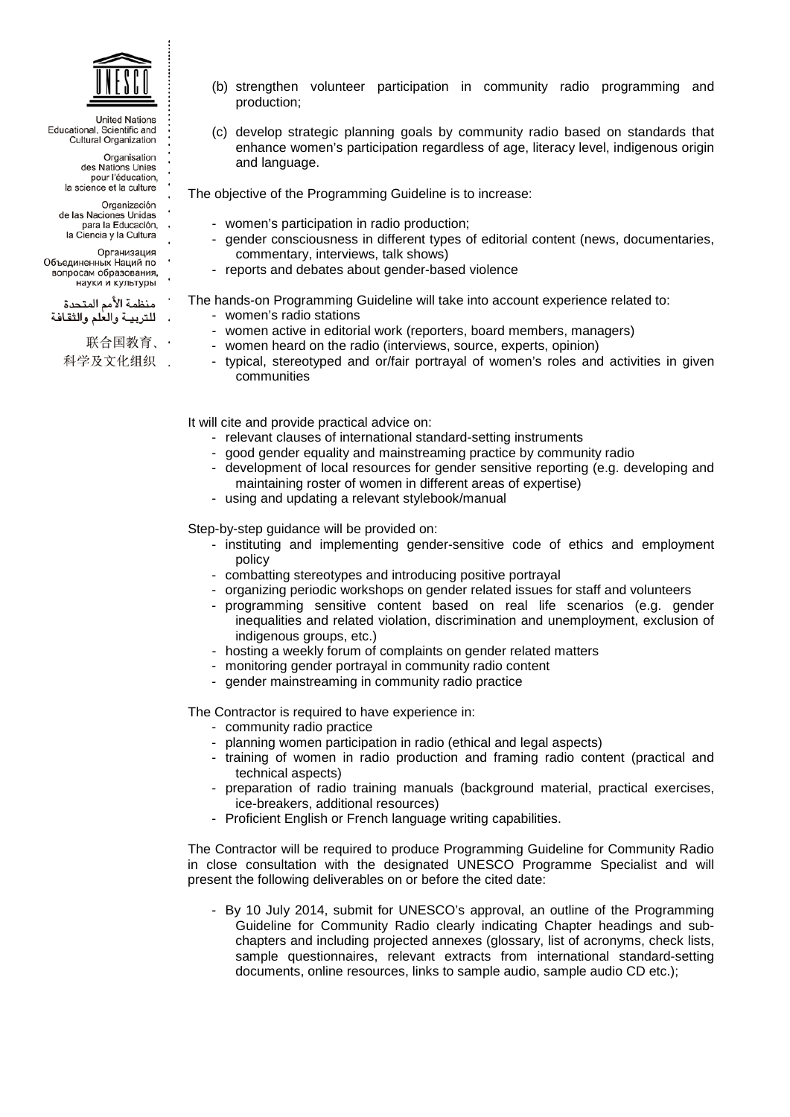

> Organisation des Nations Unies pour l'éducation, la science et la culture

- Organización de las Naciones Unidas
- para la Educación. la Ciencia y la Cultura
- 
- Организация Объединенных Наций по
- вопросам образования,
- науки и культуры
- منظمة الأمم المتحدة
- للتربية والعلم والثقافة
	- 联合国教育、・
	- 科学及文化组织 .
- (b) strengthen volunteer participation in community radio programming and production;
- (c) develop strategic planning goals by community radio based on standards that enhance women's participation regardless of age, literacy level, indigenous origin and language.

The objective of the Programming Guideline is to increase:

- women's participation in radio production;
- gender consciousness in different types of editorial content (news, documentaries, commentary, interviews, talk shows)
- reports and debates about gender-based violence

The hands-on Programming Guideline will take into account experience related to:

- women's radio stations
- women active in editorial work (reporters, board members, managers)
- women heard on the radio (interviews, source, experts, opinion)
- typical, stereotyped and or/fair portrayal of women's roles and activities in given communities

It will cite and provide practical advice on:

- relevant clauses of international standard-setting instruments
- good gender equality and mainstreaming practice by community radio
- development of local resources for gender sensitive reporting (e.g. developing and maintaining roster of women in different areas of expertise)
- using and updating a relevant stylebook/manual

Step-by-step guidance will be provided on:

- instituting and implementing gender-sensitive code of ethics and employment policy
- combatting stereotypes and introducing positive portrayal
- organizing periodic workshops on gender related issues for staff and volunteers
- programming sensitive content based on real life scenarios (e.g. gender inequalities and related violation, discrimination and unemployment, exclusion of indigenous groups, etc.)
- hosting a weekly forum of complaints on gender related matters
- monitoring gender portrayal in community radio content
- gender mainstreaming in community radio practice

The Contractor is required to have experience in:

- community radio practice
- planning women participation in radio (ethical and legal aspects)
- training of women in radio production and framing radio content (practical and technical aspects)
- preparation of radio training manuals (background material, practical exercises, ice-breakers, additional resources)
- Proficient English or French language writing capabilities.

The Contractor will be required to produce Programming Guideline for Community Radio in close consultation with the designated UNESCO Programme Specialist and will present the following deliverables on or before the cited date:

- By 10 July 2014, submit for UNESCO's approval, an outline of the Programming Guideline for Community Radio clearly indicating Chapter headings and subchapters and including projected annexes (glossary, list of acronyms, check lists, sample questionnaires, relevant extracts from international standard-setting documents, online resources, links to sample audio, sample audio CD etc.);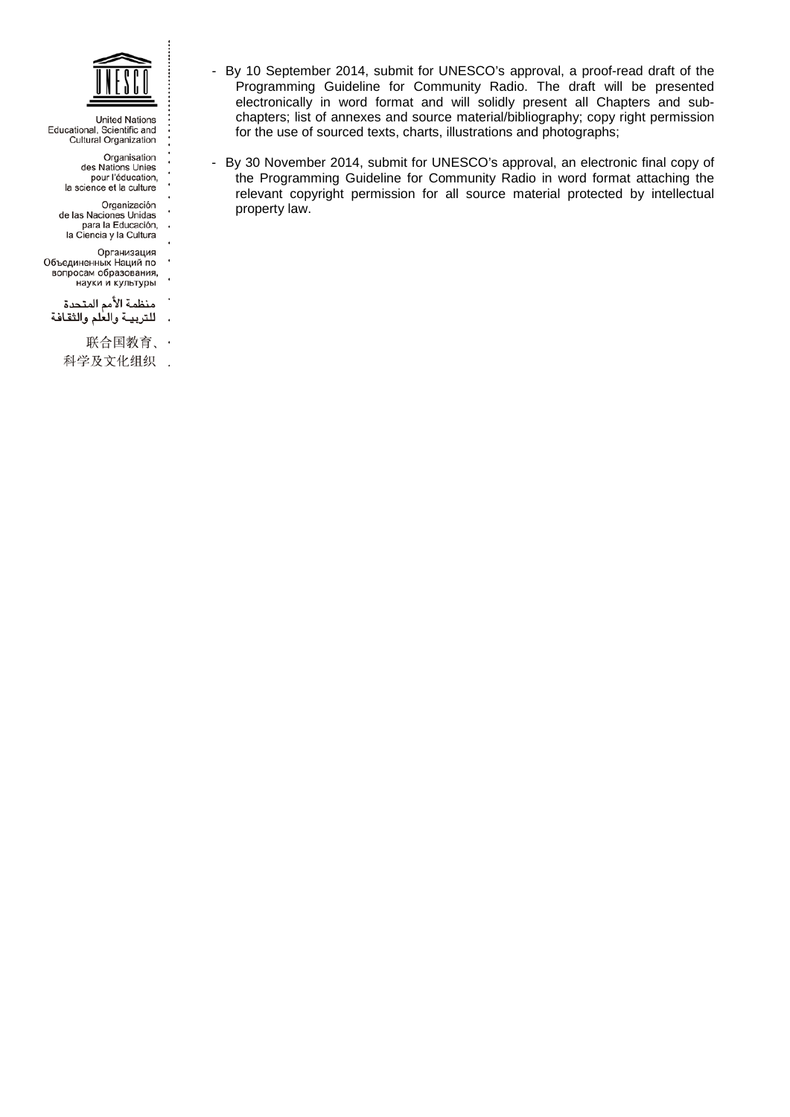

> Organisation des Nations Unies pour l'éducation,<br>la science et la culture

- 
- Organización J.
- de las Naciones Unidas<br>para la Educación,<br>la Ciencia y la Cultura J.
	-
	- Организация J.
- Объединенных Наций по
- вопросам образования,
- науки и культуры
- منظمة الأمم المتحدة
- للتربيـة والعلم والثقافة  $\ddot{\phantom{a}}$ 
	- 联合国教育、 ·
	- 科学及文化组织 .
- By 10 September 2014, submit for UNESCO's approval, a proof-read draft of the Programming Guideline for Community Radio. The draft will be presented electronically in word format and will solidly present all Chapters and subchapters; list of annexes and source material/bibliography; copy right permission for the use of sourced texts, charts, illustrations and photographs;
- By 30 November 2014, submit for UNESCO's approval, an electronic final copy of the Programming Guideline for Community Radio in word format attaching the relevant copyright permission for all source material protected by intellectual property law.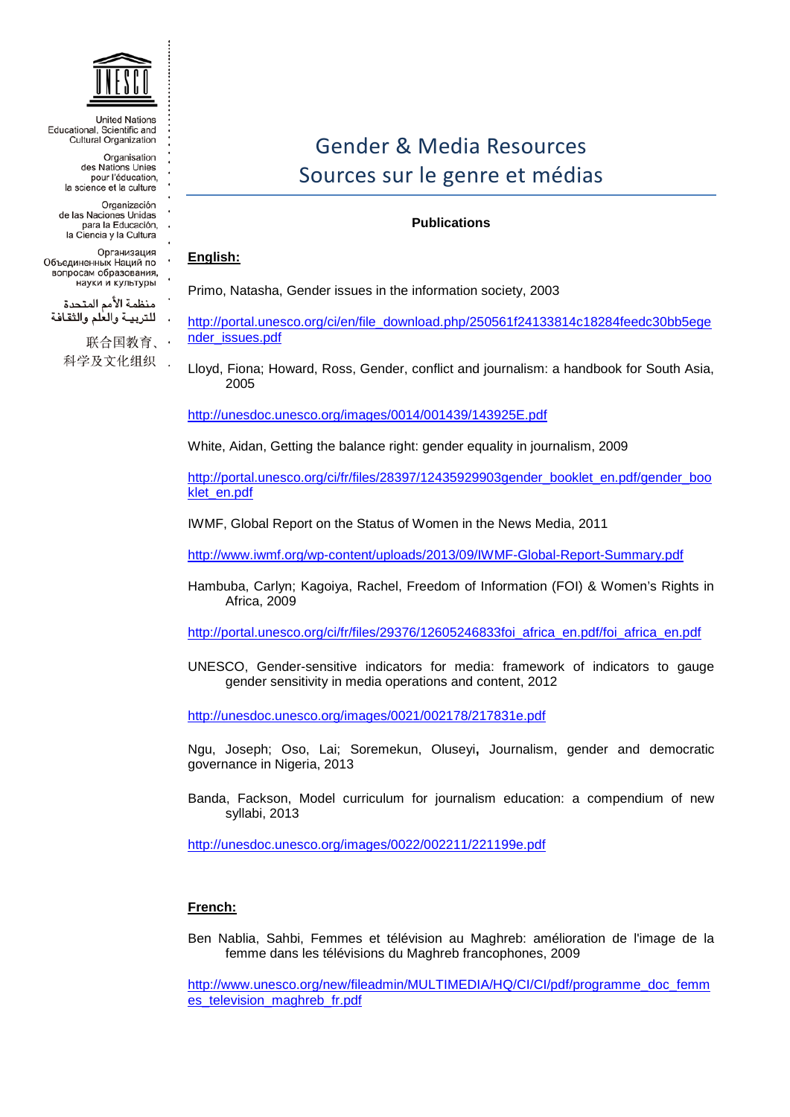

> Organisation des Nations Unies pour l'éducation, la science et la culture

Organización

de las Naciones Unidas<br>para la Educación,

la Ciencia y la Cultura

Организация

Объелиненных Наций по вопросам образования, науки и культуры

منظمة الأمم المتحدة للتربية والعلم والثقافة

> 联合国教育、 科学及文化组织 .

# Gender & Media Resources Sources sur le genre et médias

# **Publications**

#### **English:**

Primo, Natasha, Gender issues in the information society, 2003

[http://portal.unesco.org/ci/en/file\\_download.php/250561f24133814c18284feedc30bb5ege](http://portal.unesco.org/ci/en/file_download.php/250561f24133814c18284feedc30bb5egender_issues.pdf) [nder\\_issues.pdf](http://portal.unesco.org/ci/en/file_download.php/250561f24133814c18284feedc30bb5egender_issues.pdf)

Lloyd, Fiona; Howard, Ross, Gender, conflict and journalism: a handbook for South Asia, 2005

<http://unesdoc.unesco.org/images/0014/001439/143925E.pdf>

White, Aidan, Getting the balance right: gender equality in journalism, 2009

[http://portal.unesco.org/ci/fr/files/28397/12435929903gender\\_booklet\\_en.pdf/gender\\_boo](http://portal.unesco.org/ci/fr/files/28397/12435929903gender_booklet_en.pdf/gender_booklet_en.pdf) [klet\\_en.pdf](http://portal.unesco.org/ci/fr/files/28397/12435929903gender_booklet_en.pdf/gender_booklet_en.pdf)

IWMF, Global Report on the Status of Women in the News Media, 2011

<http://www.iwmf.org/wp-content/uploads/2013/09/IWMF-Global-Report-Summary.pdf>

Hambuba, Carlyn; Kagoiya, Rachel, Freedom of Information (FOI) & Women's Rights in Africa, 2009

[http://portal.unesco.org/ci/fr/files/29376/12605246833foi\\_africa\\_en.pdf/foi\\_africa\\_en.pdf](http://portal.unesco.org/ci/fr/files/29376/12605246833foi_africa_en.pdf/foi_africa_en.pdf)

UNESCO, Gender-sensitive indicators for media: framework of indicators to gauge gender sensitivity in media operations and content, [2012](http://www.unesco.org/new/en/communication-and-information/resources/publications-and-communication-materials/publications/publications-by-year/2012/)

<http://unesdoc.unesco.org/images/0021/002178/217831e.pdf>

[Ngu, Joseph;](http://www.unesco.org/ulis/cgi-bin/ulis.pl?database=&lin=1&futf8=1&ll=1&gp=1&look=default&sc1=1&sc2=1&ref=http://www.unesco.org/ulis/en/&nl=1&req=2&by=3&au=Ngu,%20Joseph) [Oso, Lai;](http://www.unesco.org/ulis/cgi-bin/ulis.pl?database=&lin=1&futf8=1&ll=1&gp=1&look=default&sc1=1&sc2=1&ref=http://www.unesco.org/ulis/en/&nl=1&req=2&by=3&au=Oso,%20Lai) [Soremekun, Oluseyi](http://www.unesco.org/ulis/cgi-bin/ulis.pl?database=&lin=1&futf8=1&ll=1&gp=1&look=default&sc1=1&sc2=1&ref=http://www.unesco.org/ulis/en/&nl=1&req=2&by=3&au=Soremekun,%20Oluseyi)**,** Journalism, gender and democratic governance in Nigeria, 2013

[Banda, Fackson,](http://www.unesco.org/ulis/cgi-bin/ulis.pl?database=&lin=1&futf8=1&ll=1&gp=1&look=default&sc1=1&sc2=1&ref=http://www.unesco.org/ulis/en/&nl=1&req=2&by=3&au=Banda,%20Fackson) Model curriculum for journalism education: a compendium of new syllabi, 2013

<http://unesdoc.unesco.org/images/0022/002211/221199e.pdf>

## **French:**

[Ben Nablia, Sahbi,](http://www.unesco.org/ulis/cgi-bin/ulis.pl?database=&lin=1&futf8=1&ll=1&gp=1&look=default&sc1=1&sc2=1&ref=http://www.unesco.org/ulis/en/&nl=1&req=2&by=3&au=Ben%20Nablia,%20Sahbi) Femmes et télévision au Maghreb: amélioration de l'image de la femme dans les télévisions du Maghreb francophones, 2009

[http://www.unesco.org/new/fileadmin/MULTIMEDIA/HQ/CI/CI/pdf/programme\\_doc\\_femm](http://www.unesco.org/new/fileadmin/MULTIMEDIA/HQ/CI/CI/pdf/programme_doc_femmes_television_maghreb_fr.pdf) [es\\_television\\_maghreb\\_fr.pdf](http://www.unesco.org/new/fileadmin/MULTIMEDIA/HQ/CI/CI/pdf/programme_doc_femmes_television_maghreb_fr.pdf)